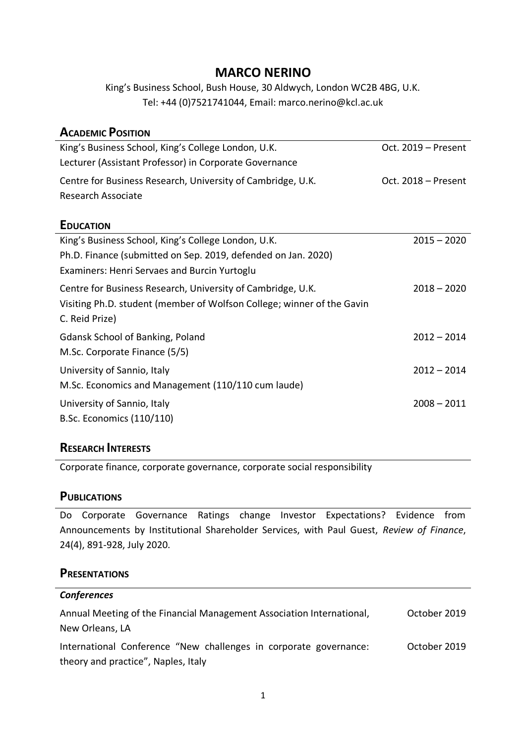# **MARCO NERINO**

King's Business School, Bush House, 30 Aldwych, London WC2B 4BG, U.K. Tel: +44 (0)7521741044, Email: marco.nerino@kcl.ac.uk

| <b>ACADEMIC POSITION</b>                                               |                     |
|------------------------------------------------------------------------|---------------------|
| King's Business School, King's College London, U.K.                    | Oct. 2019 - Present |
| Lecturer (Assistant Professor) in Corporate Governance                 |                     |
| Centre for Business Research, University of Cambridge, U.K.            | Oct. 2018 - Present |
| Research Associate                                                     |                     |
| <b>EDUCATION</b>                                                       |                     |
| King's Business School, King's College London, U.K.                    | $2015 - 2020$       |
| Ph.D. Finance (submitted on Sep. 2019, defended on Jan. 2020)          |                     |
| Examiners: Henri Servaes and Burcin Yurtoglu                           |                     |
| Centre for Business Research, University of Cambridge, U.K.            | $2018 - 2020$       |
| Visiting Ph.D. student (member of Wolfson College; winner of the Gavin |                     |
| C. Reid Prize)                                                         |                     |
| <b>Gdansk School of Banking, Poland</b>                                | $2012 - 2014$       |
| M.Sc. Corporate Finance (5/5)                                          |                     |
| University of Sannio, Italy                                            | $2012 - 2014$       |
| M.Sc. Economics and Management (110/110 cum laude)                     |                     |
| University of Sannio, Italy                                            | $2008 - 2011$       |
| B.Sc. Economics (110/110)                                              |                     |
|                                                                        |                     |

## **RESEARCH INTERESTS**

Corporate finance, corporate governance, corporate social responsibility

#### **PUBLICATIONS**

Do Corporate Governance Ratings change Investor Expectations? Evidence from Announcements by Institutional Shareholder Services, with Paul Guest, *Review of Finance*, 24(4), 891-928, July 2020.

#### **PRESENTATIONS**

| <b>Conferences</b>                                                                                       |              |
|----------------------------------------------------------------------------------------------------------|--------------|
| Annual Meeting of the Financial Management Association International,<br>New Orleans, LA                 | October 2019 |
| International Conference "New challenges in corporate governance:<br>theory and practice", Naples, Italy | October 2019 |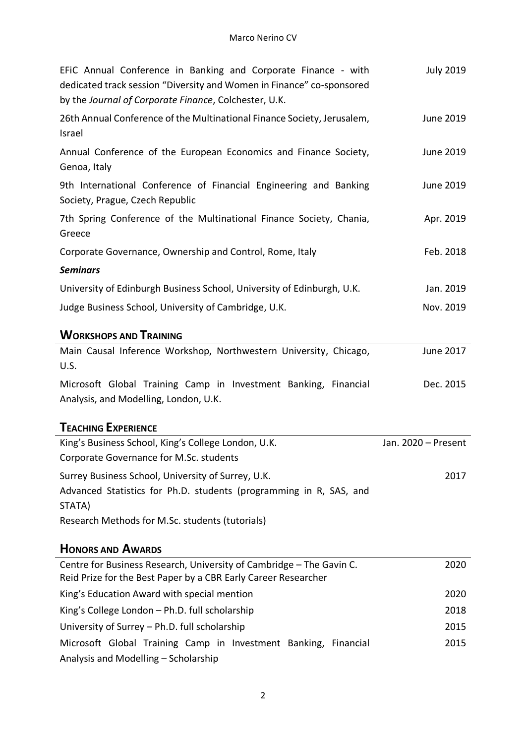| EFIC Annual Conference in Banking and Corporate Finance - with<br>dedicated track session "Diversity and Women in Finance" co-sponsored<br>by the Journal of Corporate Finance, Colchester, U.K. | <b>July 2019</b>    |
|--------------------------------------------------------------------------------------------------------------------------------------------------------------------------------------------------|---------------------|
| 26th Annual Conference of the Multinational Finance Society, Jerusalem,<br>Israel                                                                                                                | June 2019           |
| Annual Conference of the European Economics and Finance Society,<br>Genoa, Italy                                                                                                                 | June 2019           |
| 9th International Conference of Financial Engineering and Banking<br>Society, Prague, Czech Republic                                                                                             | June 2019           |
| 7th Spring Conference of the Multinational Finance Society, Chania,<br>Greece                                                                                                                    | Apr. 2019           |
| Corporate Governance, Ownership and Control, Rome, Italy                                                                                                                                         | Feb. 2018           |
| <b>Seminars</b>                                                                                                                                                                                  |                     |
| University of Edinburgh Business School, University of Edinburgh, U.K.                                                                                                                           | Jan. 2019           |
| Judge Business School, University of Cambridge, U.K.                                                                                                                                             | Nov. 2019           |
| <b>WORKSHOPS AND TRAINING</b>                                                                                                                                                                    |                     |
| Main Causal Inference Workshop, Northwestern University, Chicago,<br>U.S.                                                                                                                        | June 2017           |
| Microsoft Global Training Camp in Investment Banking, Financial<br>Analysis, and Modelling, London, U.K.                                                                                         | Dec. 2015           |
| <b>TEACHING EXPERIENCE</b>                                                                                                                                                                       |                     |
| King's Business School, King's College London, U.K.<br>Corporate Governance for M.Sc. students                                                                                                   | Jan. 2020 - Present |
| Surrey Business School, University of Surrey, U.K.                                                                                                                                               | 2017                |
| Advanced Statistics for Ph.D. students (programming in R, SAS, and<br>STATA)                                                                                                                     |                     |
| Research Methods for M.Sc. students (tutorials)                                                                                                                                                  |                     |
| <b>HONORS AND AWARDS</b>                                                                                                                                                                         |                     |
| Centre for Business Research, University of Cambridge - The Gavin C.<br>Reid Prize for the Best Paper by a CBR Early Career Researcher                                                           | 2020                |
| King's Education Award with special mention                                                                                                                                                      | 2020                |
| King's College London - Ph.D. full scholarship                                                                                                                                                   | 2018                |
| University of Surrey - Ph.D. full scholarship                                                                                                                                                    | 2015                |
| Microsoft Global Training Camp in Investment Banking, Financial<br>Analysis and Modelling - Scholarship                                                                                          | 2015                |